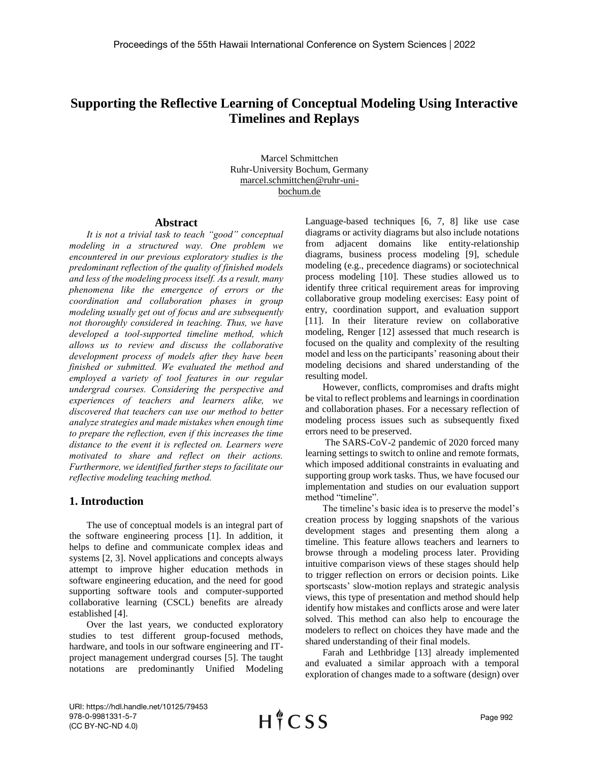# **Supporting the Reflective Learning of Conceptual Modeling Using Interactive Timelines and Replays**

Marcel Schmittchen Ruhr-University Bochum, Germany marcel.schmittchen@ruhr-unibochum.de

### **Abstract**

*It is not a trivial task to teach "good" conceptual modeling in a structured way. One problem we encountered in our previous exploratory studies is the predominant reflection of the quality of finished models and less of the modeling process itself. As a result, many phenomena like the emergence of errors or the coordination and collaboration phases in group modeling usually get out of focus and are subsequently not thoroughly considered in teaching. Thus, we have developed a tool-supported timeline method, which allows us to review and discuss the collaborative development process of models after they have been finished or submitted. We evaluated the method and employed a variety of tool features in our regular undergrad courses. Considering the perspective and experiences of teachers and learners alike, we discovered that teachers can use our method to better analyze strategies and made mistakes when enough time to prepare the reflection, even if this increases the time distance to the event it is reflected on. Learners were motivated to share and reflect on their actions. Furthermore, we identified further steps to facilitate our reflective modeling teaching method.*

# **1. Introduction**

The use of conceptual models is an integral part of the software engineering process [1]. In addition, it helps to define and communicate complex ideas and systems [2, 3]. Novel applications and concepts always attempt to improve higher education methods in software engineering education, and the need for good supporting software tools and computer-supported collaborative learning (CSCL) benefits are already established [4].

Over the last years, we conducted exploratory studies to test different group-focused methods, hardware, and tools in our software engineering and ITproject management undergrad courses [5]. The taught notations are predominantly Unified Modeling Language-based techniques [6, 7, 8] like use case diagrams or activity diagrams but also include notations from adjacent domains like entity-relationship diagrams, business process modeling [9], schedule modeling (e.g., precedence diagrams) or sociotechnical process modeling [10]. These studies allowed us to identify three critical requirement areas for improving collaborative group modeling exercises: Easy point of entry, coordination support, and evaluation support [11]. In their literature review on collaborative modeling, Renger [12] assessed that much research is focused on the quality and complexity of the resulting model and less on the participants' reasoning about their modeling decisions and shared understanding of the resulting model.

However, conflicts, compromises and drafts might be vital to reflect problems and learnings in coordination and collaboration phases. For a necessary reflection of modeling process issues such as subsequently fixed errors need to be preserved.

The SARS-CoV-2 pandemic of 2020 forced many learning settings to switch to online and remote formats, which imposed additional constraints in evaluating and supporting group work tasks. Thus, we have focused our implementation and studies on our evaluation support method "timeline".

The timeline's basic idea is to preserve the model's creation process by logging snapshots of the various development stages and presenting them along a timeline. This feature allows teachers and learners to browse through a modeling process later. Providing intuitive comparison views of these stages should help to trigger reflection on errors or decision points. Like sportscasts' slow-motion replays and strategic analysis views, this type of presentation and method should help identify how mistakes and conflicts arose and were later solved. This method can also help to encourage the modelers to reflect on choices they have made and the shared understanding of their final models.

Farah and Lethbridge [13] already implemented and evaluated a similar approach with a temporal exploration of changes made to a software (design) over

URI: https://hdl.handle.net/10125/79453 978-0-9981331-5-7 (CC BY-NC-ND 4.0)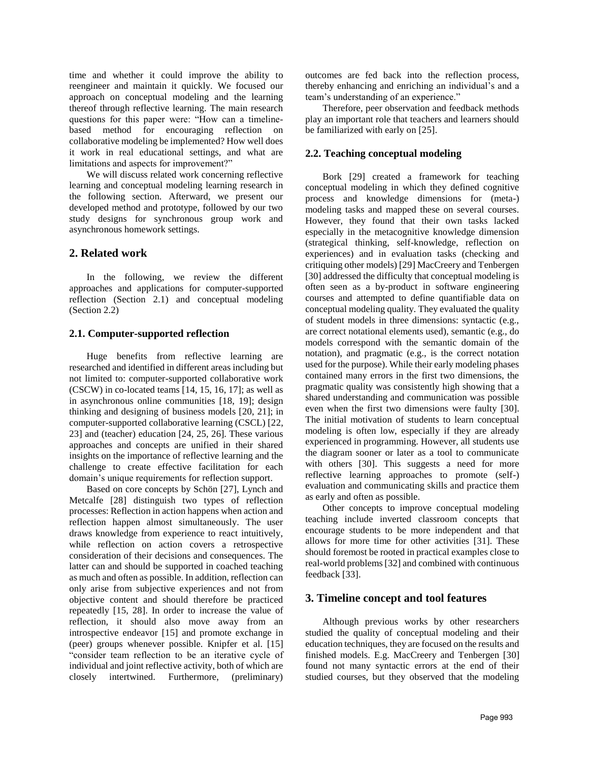time and whether it could improve the ability to reengineer and maintain it quickly. We focused our approach on conceptual modeling and the learning thereof through reflective learning. The main research questions for this paper were: "How can a timelinebased method for encouraging reflection on collaborative modeling be implemented? How well does it work in real educational settings, and what are limitations and aspects for improvement?"

We will discuss related work concerning reflective learning and conceptual modeling learning research in the following section. Afterward, we present our developed method and prototype, followed by our two study designs for synchronous group work and asynchronous homework settings.

# **2. Related work**

In the following, we review the different approaches and applications for computer-supported reflection (Section 2.1) and conceptual modeling (Section 2.2)

## **2.1. Computer-supported reflection**

Huge benefits from reflective learning are researched and identified in different areas including but not limited to: computer-supported collaborative work (CSCW) in co-located teams [14, 15, 16, 17]; as well as in asynchronous online communities [18, 19]; design thinking and designing of business models [20, 21]; in computer-supported collaborative learning (CSCL) [22, 23] and (teacher) education [24, 25, 26]. These various approaches and concepts are unified in their shared insights on the importance of reflective learning and the challenge to create effective facilitation for each domain's unique requirements for reflection support.

Based on core concepts by Schön [27], Lynch and Metcalfe [28] distinguish two types of reflection processes: Reflection in action happens when action and reflection happen almost simultaneously. The user draws knowledge from experience to react intuitively, while reflection on action covers a retrospective consideration of their decisions and consequences. The latter can and should be supported in coached teaching as much and often as possible. In addition, reflection can only arise from subjective experiences and not from objective content and should therefore be practiced repeatedly [15, 28]. In order to increase the value of reflection, it should also move away from an introspective endeavor [15] and promote exchange in (peer) groups whenever possible. Knipfer et al. [15] "consider team reflection to be an iterative cycle of individual and joint reflective activity, both of which are closely intertwined. Furthermore, (preliminary)

outcomes are fed back into the reflection process, thereby enhancing and enriching an individual's and a team's understanding of an experience."

Therefore, peer observation and feedback methods play an important role that teachers and learners should be familiarized with early on [25].

# **2.2. Teaching conceptual modeling**

Bork [29] created a framework for teaching conceptual modeling in which they defined cognitive process and knowledge dimensions for (meta-) modeling tasks and mapped these on several courses. However, they found that their own tasks lacked especially in the metacognitive knowledge dimension (strategical thinking, self-knowledge, reflection on experiences) and in evaluation tasks (checking and critiquing other models) [29] MacCreery and Tenbergen [30] addressed the difficulty that conceptual modeling is often seen as a by-product in software engineering courses and attempted to define quantifiable data on conceptual modeling quality. They evaluated the quality of student models in three dimensions: syntactic (e.g., are correct notational elements used), semantic (e.g., do models correspond with the semantic domain of the notation), and pragmatic (e.g., is the correct notation used for the purpose). While their early modeling phases contained many errors in the first two dimensions, the pragmatic quality was consistently high showing that a shared understanding and communication was possible even when the first two dimensions were faulty [30]. The initial motivation of students to learn conceptual modeling is often low, especially if they are already experienced in programming. However, all students use the diagram sooner or later as a tool to communicate with others [30]. This suggests a need for more reflective learning approaches to promote (self-) evaluation and communicating skills and practice them as early and often as possible.

Other concepts to improve conceptual modeling teaching include inverted classroom concepts that encourage students to be more independent and that allows for more time for other activities [31]. These should foremost be rooted in practical examples close to real-world problems [32] and combined with continuous feedback [33].

# **3. Timeline concept and tool features**

Although previous works by other researchers studied the quality of conceptual modeling and their education techniques, they are focused on the results and finished models. E.g. MacCreery and Tenbergen [30] found not many syntactic errors at the end of their studied courses, but they observed that the modeling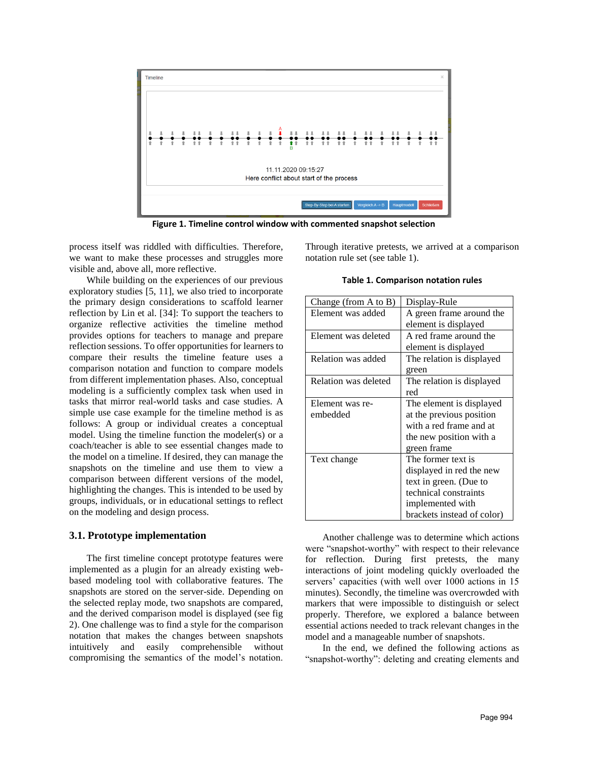

**Figure 1. Timeline control window with commented snapshot selection**

process itself was riddled with difficulties. Therefore, we want to make these processes and struggles more visible and, above all, more reflective.

While building on the experiences of our previous exploratory studies [5, 11], we also tried to incorporate the primary design considerations to scaffold learner reflection by Lin et al. [34]: To support the teachers to organize reflective activities the timeline method provides options for teachers to manage and prepare reflection sessions. To offer opportunities for learners to compare their results the timeline feature uses a comparison notation and function to compare models from different implementation phases. Also, conceptual modeling is a sufficiently complex task when used in tasks that mirror real-world tasks and case studies. A simple use case example for the timeline method is as follows: A group or individual creates a conceptual model. Using the timeline function the modeler(s) or a coach/teacher is able to see essential changes made to the model on a timeline. If desired, they can manage the snapshots on the timeline and use them to view a comparison between different versions of the model, highlighting the changes. This is intended to be used by groups, individuals, or in educational settings to reflect on the modeling and design process.

#### **3.1. Prototype implementation**

The first timeline concept prototype features were implemented as a plugin for an already existing webbased modeling tool with collaborative features. The snapshots are stored on the server-side. Depending on the selected replay mode, two snapshots are compared, and the derived comparison model is displayed (see fig 2). One challenge was to find a style for the comparison notation that makes the changes between snapshots intuitively and easily comprehensible without compromising the semantics of the model's notation. Through iterative pretests, we arrived at a comparison notation rule set (see table 1).

**Table 1. Comparison notation rules**

| Change (from $A$ to $B$ ) | Display-Rule               |  |
|---------------------------|----------------------------|--|
| Element was added         | A green frame around the   |  |
|                           | element is displayed       |  |
| Element was deleted       | A red frame around the     |  |
|                           | element is displayed       |  |
| Relation was added        | The relation is displayed  |  |
|                           | green                      |  |
| Relation was deleted      | The relation is displayed  |  |
|                           | red                        |  |
| Element was re-           | The element is displayed   |  |
| embedded                  | at the previous position   |  |
|                           | with a red frame and at    |  |
|                           | the new position with a    |  |
|                           | green frame                |  |
| Text change               | The former text is         |  |
|                           | displayed in red the new   |  |
|                           | text in green. (Due to     |  |
|                           | technical constraints      |  |
|                           | implemented with           |  |
|                           | brackets instead of color) |  |

Another challenge was to determine which actions were "snapshot-worthy" with respect to their relevance for reflection. During first pretests, the many interactions of joint modeling quickly overloaded the servers' capacities (with well over 1000 actions in 15 minutes). Secondly, the timeline was overcrowded with markers that were impossible to distinguish or select properly. Therefore, we explored a balance between essential actions needed to track relevant changes in the model and a manageable number of snapshots.

In the end, we defined the following actions as "snapshot-worthy": deleting and creating elements and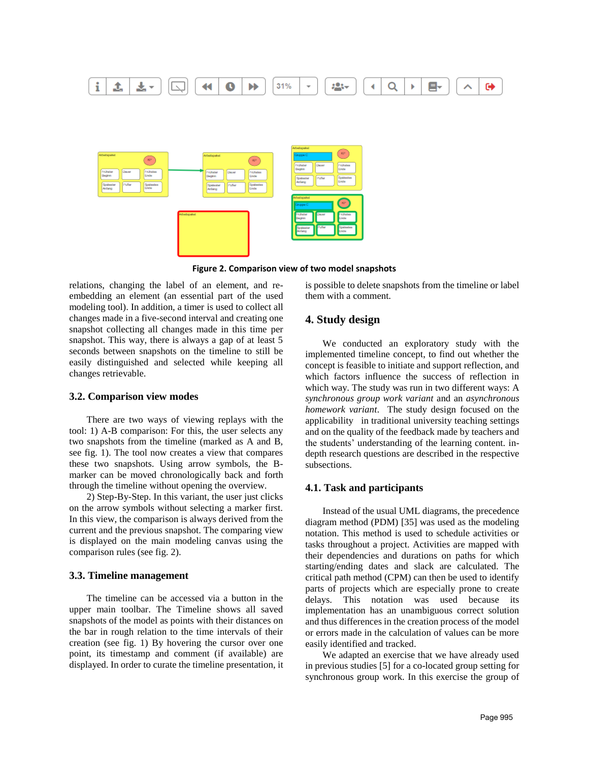

**Figure 2. Comparison view of two model snapshots**

relations, changing the label of an element, and reembedding an element (an essential part of the used modeling tool). In addition, a timer is used to collect all changes made in a five-second interval and creating one snapshot collecting all changes made in this time per snapshot. This way, there is always a gap of at least 5 seconds between snapshots on the timeline to still be easily distinguished and selected while keeping all changes retrievable.

### **3.2. Comparison view modes**

There are two ways of viewing replays with the tool: 1) A-B comparison: For this, the user selects any two snapshots from the timeline (marked as A and B, see fig. 1). The tool now creates a view that compares these two snapshots. Using arrow symbols, the Bmarker can be moved chronologically back and forth through the timeline without opening the overview.

2) Step-By-Step. In this variant, the user just clicks on the arrow symbols without selecting a marker first. In this view, the comparison is always derived from the current and the previous snapshot. The comparing view is displayed on the main modeling canvas using the comparison rules (see fig. 2).

#### **3.3. Timeline management**

The timeline can be accessed via a button in the upper main toolbar. The Timeline shows all saved snapshots of the model as points with their distances on the bar in rough relation to the time intervals of their creation (see fig. 1) By hovering the cursor over one point, its timestamp and comment (if available) are displayed. In order to curate the timeline presentation, it is possible to delete snapshots from the timeline or label them with a comment.

## **4. Study design**

We conducted an exploratory study with the implemented timeline concept, to find out whether the concept is feasible to initiate and support reflection, and which factors influence the success of reflection in which way. The study was run in two different ways: A *synchronous group work variant* and an *asynchronous homework variant*. The study design focused on the applicability in traditional university teaching settings and on the quality of the feedback made by teachers and the students' understanding of the learning content. indepth research questions are described in the respective subsections.

#### **4.1. Task and participants**

Instead of the usual UML diagrams, the precedence diagram method (PDM) [35] was used as the modeling notation. This method is used to schedule activities or tasks throughout a project. Activities are mapped with their dependencies and durations on paths for which starting/ending dates and slack are calculated. The critical path method (CPM) can then be used to identify parts of projects which are especially prone to create delays. This notation was used because its implementation has an unambiguous correct solution and thus differences in the creation process of the model or errors made in the calculation of values can be more easily identified and tracked.

We adapted an exercise that we have already used in previous studies [5] for a co-located group setting for synchronous group work. In this exercise the group of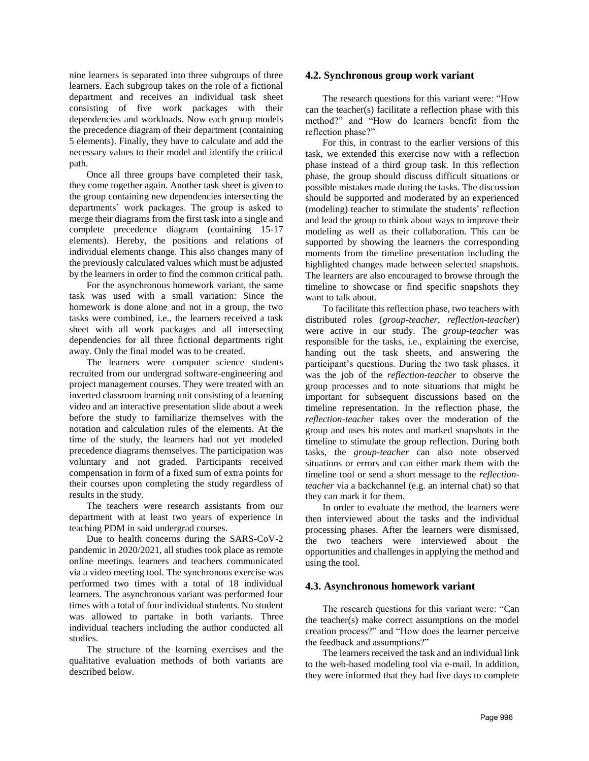nine learners is separated into three subgroups of three learners. Each subgroup takes on the role of a fictional department and receives an individual task sheet consisting of five work packages with their dependencies and workloads. Now each group models the precedence diagram of their department (containing 5 elements). Finally, they have to calculate and add the necessary values to their model and identify the critical path.

Once all three groups have completed their task, they come together again. Another task sheet is given to the group containing new dependencies intersecting the departments' work packages. The group is asked to merge their diagrams from the first task into a single and complete precedence diagram (containing 15-17 elements). Hereby, the positions and relations of individual elements change. This also changes many of the previously calculated values which must be adjusted by the learners in order to find the common critical path.

For the asynchronous homework variant, the same task was used with a small variation: Since the homework is done alone and not in a group, the two tasks were combined, i.e., the learners received a task sheet with all work packages and all intersecting dependencies for all three fictional departments right away. Only the final model was to be created.

The learners were computer science students recruited from our undergrad software-engineering and project management courses. They were treated with an inverted classroom learning unit consisting of a learning video and an interactive presentation slide about a week before the study to familiarize themselves with the notation and calculation rules of the elements. At the time of the study, the learners had not yet modeled precedence diagrams themselves. The participation was voluntary and not graded. Participants received compensation in form of a fixed sum of extra points for their courses upon completing the study regardless of results in the study.

The teachers were research assistants from our department with at least two years of experience in teaching PDM in said undergrad courses.

Due to health concerns during the SARS-CoV-2 pandemic in 2020/2021, all studies took place as remote online meetings. learners and teachers communicated via a video meeting tool. The synchronous exercise was performed two times with a total of 18 individual learners. The asynchronous variant was performed four times with a total of four individual students. No student was allowed to partake in both variants. Three individual teachers including the author conducted all studies.

The structure of the learning exercises and the qualitative evaluation methods of both variants are described below.

#### **4.2. Synchronous group work variant**

The research questions for this variant were: "How can the teacher(s) facilitate a reflection phase with this method?" and "How do learners benefit from the reflection phase?"

For this, in contrast to the earlier versions of this task, we extended this exercise now with a reflection phase instead of a third group task. In this reflection phase, the group should discuss difficult situations or possible mistakes made during the tasks. The discussion should be supported and moderated by an experienced (modeling) teacher to stimulate the students' reflection and lead the group to think about ways to improve their modeling as well as their collaboration. This can be supported by showing the learners the corresponding moments from the timeline presentation including the highlighted changes made between selected snapshots. The learners are also encouraged to browse through the timeline to showcase or find specific snapshots they want to talk about.

To facilitate this reflection phase, two teachers with distributed roles (*group-teacher*, *reflection-teacher*) were active in our study. The *group-teacher* was responsible for the tasks, i.e., explaining the exercise, handing out the task sheets, and answering the participant's questions. During the two task phases, it was the job of the *reflection-teacher* to observe the group processes and to note situations that might be important for subsequent discussions based on the timeline representation. In the reflection phase, the *reflection-teacher* takes over the moderation of the group and uses his notes and marked snapshots in the timeline to stimulate the group reflection. During both tasks, the *group-teacher* can also note observed situations or errors and can either mark them with the timeline tool or send a short message to the *reflectionteacher* via a backchannel (e.g. an internal chat) so that they can mark it for them.

In order to evaluate the method, the learners were then interviewed about the tasks and the individual processing phases. After the learners were dismissed, the two teachers were interviewed about the opportunities and challenges in applying the method and using the tool.

#### **4.3. Asynchronous homework variant**

The research questions for this variant were: "Can the teacher(s) make correct assumptions on the model creation process?" and "How does the learner perceive the feedback and assumptions?"

The learners received the task and an individual link to the web-based modeling tool via e-mail. In addition, they were informed that they had five days to complete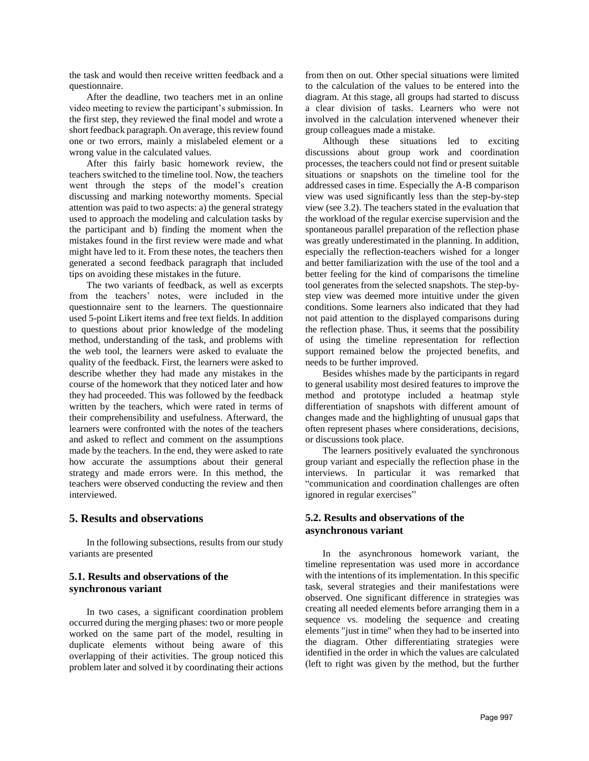the task and would then receive written feedback and a questionnaire.

After the deadline, two teachers met in an online video meeting to review the participant's submission. In the first step, they reviewed the final model and wrote a short feedback paragraph. On average, this review found one or two errors, mainly a mislabeled element or a wrong value in the calculated values.

After this fairly basic homework review, the teachers switched to the timeline tool. Now, the teachers went through the steps of the model's creation discussing and marking noteworthy moments. Special attention was paid to two aspects: a) the general strategy used to approach the modeling and calculation tasks by the participant and b) finding the moment when the mistakes found in the first review were made and what might have led to it. From these notes, the teachers then generated a second feedback paragraph that included tips on avoiding these mistakes in the future.

The two variants of feedback, as well as excerpts from the teachers' notes, were included in the questionnaire sent to the learners. The questionnaire used 5-point Likert items and free text fields. In addition to questions about prior knowledge of the modeling method, understanding of the task, and problems with the web tool, the learners were asked to evaluate the quality of the feedback. First, the learners were asked to describe whether they had made any mistakes in the course of the homework that they noticed later and how they had proceeded. This was followed by the feedback written by the teachers, which were rated in terms of their comprehensibility and usefulness. Afterward, the learners were confronted with the notes of the teachers and asked to reflect and comment on the assumptions made by the teachers. In the end, they were asked to rate how accurate the assumptions about their general strategy and made errors were. In this method, the teachers were observed conducting the review and then interviewed.

# **5. Results and observations**

In the following subsections, results from our study variants are presented

# **5.1. Results and observations of the synchronous variant**

In two cases, a significant coordination problem occurred during the merging phases: two or more people worked on the same part of the model, resulting in duplicate elements without being aware of this overlapping of their activities. The group noticed this problem later and solved it by coordinating their actions from then on out. Other special situations were limited to the calculation of the values to be entered into the diagram. At this stage, all groups had started to discuss a clear division of tasks. Learners who were not involved in the calculation intervened whenever their group colleagues made a mistake.

Although these situations led to exciting discussions about group work and coordination processes, the teachers could not find or present suitable situations or snapshots on the timeline tool for the addressed cases in time. Especially the A-B comparison view was used significantly less than the step-by-step view (see 3.2). The teachers stated in the evaluation that the workload of the regular exercise supervision and the spontaneous parallel preparation of the reflection phase was greatly underestimated in the planning. In addition, especially the reflection-teachers wished for a longer and better familiarization with the use of the tool and a better feeling for the kind of comparisons the timeline tool generates from the selected snapshots. The step-bystep view was deemed more intuitive under the given conditions. Some learners also indicated that they had not paid attention to the displayed comparisons during the reflection phase. Thus, it seems that the possibility of using the timeline representation for reflection support remained below the projected benefits, and needs to be further improved.

Besides whishes made by the participants in regard to general usability most desired features to improve the method and prototype included a heatmap style differentiation of snapshots with different amount of changes made and the highlighting of unusual gaps that often represent phases where considerations, decisions, or discussions took place.

The learners positively evaluated the synchronous group variant and especially the reflection phase in the interviews. In particular it was remarked that "communication and coordination challenges are often ignored in regular exercises"

## **5.2. Results and observations of the asynchronous variant**

In the asynchronous homework variant, the timeline representation was used more in accordance with the intentions of its implementation. In this specific task, several strategies and their manifestations were observed. One significant difference in strategies was creating all needed elements before arranging them in a sequence vs. modeling the sequence and creating elements "just in time" when they had to be inserted into the diagram. Other differentiating strategies were identified in the order in which the values are calculated (left to right was given by the method, but the further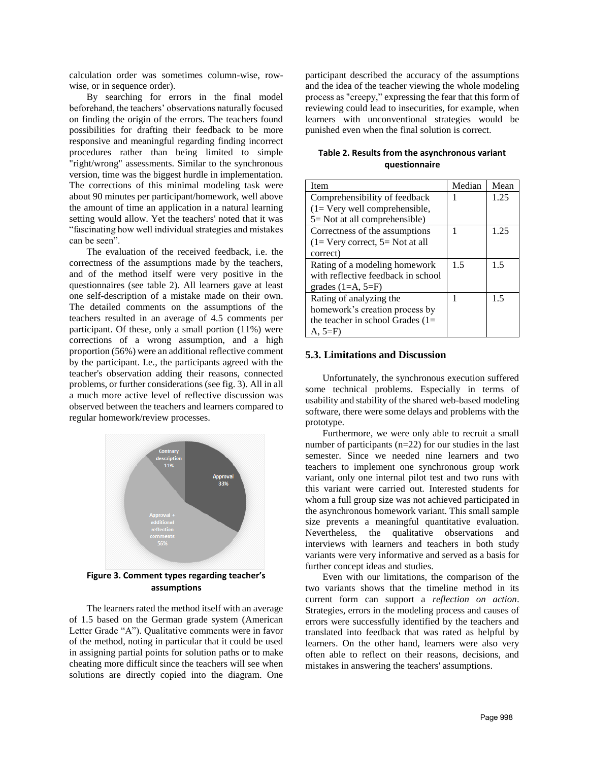calculation order was sometimes column-wise, rowwise, or in sequence order).

By searching for errors in the final model beforehand, the teachers' observations naturally focused on finding the origin of the errors. The teachers found possibilities for drafting their feedback to be more responsive and meaningful regarding finding incorrect procedures rather than being limited to simple "right/wrong" assessments. Similar to the synchronous version, time was the biggest hurdle in implementation. The corrections of this minimal modeling task were about 90 minutes per participant/homework, well above the amount of time an application in a natural learning setting would allow. Yet the teachers' noted that it was "fascinating how well individual strategies and mistakes can be seen".

The evaluation of the received feedback, i.e. the correctness of the assumptions made by the teachers, and of the method itself were very positive in the questionnaires (see table 2). All learners gave at least one self-description of a mistake made on their own. The detailed comments on the assumptions of the teachers resulted in an average of 4.5 comments per participant. Of these, only a small portion (11%) were corrections of a wrong assumption, and a high proportion (56%) were an additional reflective comment by the participant. I.e., the participants agreed with the teacher's observation adding their reasons, connected problems, or further considerations (see fig. 3). All in all a much more active level of reflective discussion was observed between the teachers and learners compared to regular homework/review processes.



**assumptions**

The learners rated the method itself with an average of 1.5 based on the German grade system (American Letter Grade "A"). Qualitative comments were in favor of the method, noting in particular that it could be used in assigning partial points for solution paths or to make cheating more difficult since the teachers will see when solutions are directly copied into the diagram. One

participant described the accuracy of the assumptions and the idea of the teacher viewing the whole modeling process as "creepy," expressing the fear that this form of reviewing could lead to insecurities, for example, when learners with unconventional strategies would be punished even when the final solution is correct.

| Table 2. Results from the asynchronous variant |  |
|------------------------------------------------|--|
| questionnaire                                  |  |

| Item                                   | Median | Mean |
|----------------------------------------|--------|------|
|                                        |        |      |
| Comprehensibility of feedback          |        | 1.25 |
| $(1 = \text{Very well comprehensive},$ |        |      |
| $5 =$ Not at all comprehensible)       |        |      |
| Correctness of the assumptions         |        | 1.25 |
| $(1=$ Very correct, $5=$ Not at all    |        |      |
| correct)                               |        |      |
| Rating of a modeling homework          | 1.5    | 1.5  |
| with reflective feedback in school     |        |      |
| grades $(1=A, 5=F)$                    |        |      |
| Rating of analyzing the                |        | 1.5  |
| homework's creation process by         |        |      |
| the teacher in school Grades $(1=$     |        |      |
| $A, 5=F$                               |        |      |

#### **5.3. Limitations and Discussion**

Unfortunately, the synchronous execution suffered some technical problems. Especially in terms of usability and stability of the shared web-based modeling software, there were some delays and problems with the prototype.

Furthermore, we were only able to recruit a small number of participants (n=22) for our studies in the last semester. Since we needed nine learners and two teachers to implement one synchronous group work variant, only one internal pilot test and two runs with this variant were carried out. Interested students for whom a full group size was not achieved participated in the asynchronous homework variant. This small sample size prevents a meaningful quantitative evaluation. Nevertheless, the qualitative observations and interviews with learners and teachers in both study variants were very informative and served as a basis for further concept ideas and studies.

Even with our limitations, the comparison of the two variants shows that the timeline method in its current form can support a *reflection on action*. Strategies, errors in the modeling process and causes of errors were successfully identified by the teachers and translated into feedback that was rated as helpful by learners. On the other hand, learners were also very often able to reflect on their reasons, decisions, and mistakes in answering the teachers' assumptions.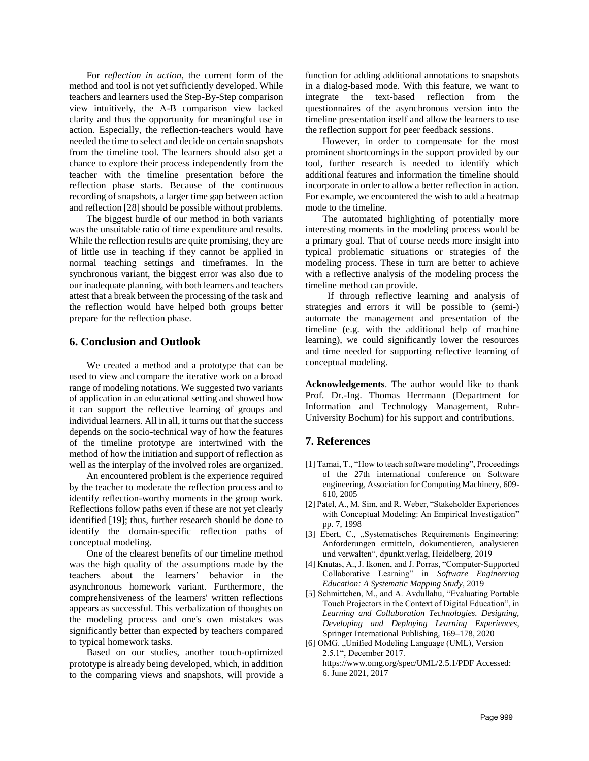For *reflection in action*, the current form of the method and tool is not yet sufficiently developed. While teachers and learners used the Step-By-Step comparison view intuitively, the A-B comparison view lacked clarity and thus the opportunity for meaningful use in action. Especially, the reflection-teachers would have needed the time to select and decide on certain snapshots from the timeline tool. The learners should also get a chance to explore their process independently from the teacher with the timeline presentation before the reflection phase starts. Because of the continuous recording of snapshots, a larger time gap between action and reflection [28] should be possible without problems.

The biggest hurdle of our method in both variants was the unsuitable ratio of time expenditure and results. While the reflection results are quite promising, they are of little use in teaching if they cannot be applied in normal teaching settings and timeframes. In the synchronous variant, the biggest error was also due to our inadequate planning, with both learners and teachers attest that a break between the processing of the task and the reflection would have helped both groups better prepare for the reflection phase.

### **6. Conclusion and Outlook**

We created a method and a prototype that can be used to view and compare the iterative work on a broad range of modeling notations. We suggested two variants of application in an educational setting and showed how it can support the reflective learning of groups and individual learners. All in all, it turns out that the success depends on the socio-technical way of how the features of the timeline prototype are intertwined with the method of how the initiation and support of reflection as well as the interplay of the involved roles are organized.

An encountered problem is the experience required by the teacher to moderate the reflection process and to identify reflection-worthy moments in the group work. Reflections follow paths even if these are not yet clearly identified [19]; thus, further research should be done to identify the domain-specific reflection paths of conceptual modeling.

One of the clearest benefits of our timeline method was the high quality of the assumptions made by the teachers about the learners' behavior in the asynchronous homework variant. Furthermore, the comprehensiveness of the learners' written reflections appears as successful. This verbalization of thoughts on the modeling process and one's own mistakes was significantly better than expected by teachers compared to typical homework tasks.

Based on our studies, another touch-optimized prototype is already being developed, which, in addition to the comparing views and snapshots, will provide a function for adding additional annotations to snapshots in a dialog-based mode. With this feature, we want to integrate the text-based reflection from the questionnaires of the asynchronous version into the timeline presentation itself and allow the learners to use the reflection support for peer feedback sessions.

However, in order to compensate for the most prominent shortcomings in the support provided by our tool, further research is needed to identify which additional features and information the timeline should incorporate in order to allow a better reflection in action. For example, we encountered the wish to add a heatmap mode to the timeline.

The automated highlighting of potentially more interesting moments in the modeling process would be a primary goal. That of course needs more insight into typical problematic situations or strategies of the modeling process. These in turn are better to achieve with a reflective analysis of the modeling process the timeline method can provide.

If through reflective learning and analysis of strategies and errors it will be possible to (semi-) automate the management and presentation of the timeline (e.g. with the additional help of machine learning), we could significantly lower the resources and time needed for supporting reflective learning of conceptual modeling.

**Acknowledgements**. The author would like to thank Prof. Dr.-Ing. Thomas Herrmann (Department for Information and Technology Management, Ruhr-University Bochum) for his support and contributions.

## **7. References**

- [1] Tamai, T., "How to teach software modeling", Proceedings of the 27th international conference on Software engineering, Association for Computing Machinery, 609- 610, 2005
- [2] Patel, A., M. Sim, and R. Weber, "Stakeholder Experiences with Conceptual Modeling: An Empirical Investigation" pp. 7, 1998
- [3] Ebert, C., "Systematisches Requirements Engineering: Anforderungen ermitteln, dokumentieren, analysieren und verwalten", dpunkt.verlag, Heidelberg, 2019
- [4] Knutas, A., J. Ikonen, and J. Porras, "Computer-Supported Collaborative Learning" in *Software Engineering Education: A Systematic Mapping Study*, 2019
- [5] Schmittchen, M., and A. Avdullahu, "Evaluating Portable Touch Projectors in the Context of Digital Education", in *Learning and Collaboration Technologies. Designing, Developing and Deploying Learning Experiences*, Springer International Publishing, 169–178, 2020
- [6] OMG. "Unified Modeling Language (UML), Version 2.5.1", December 2017. https://www.omg.org/spec/UML/2.5.1/PDF Accessed: 6. June 2021, 2017